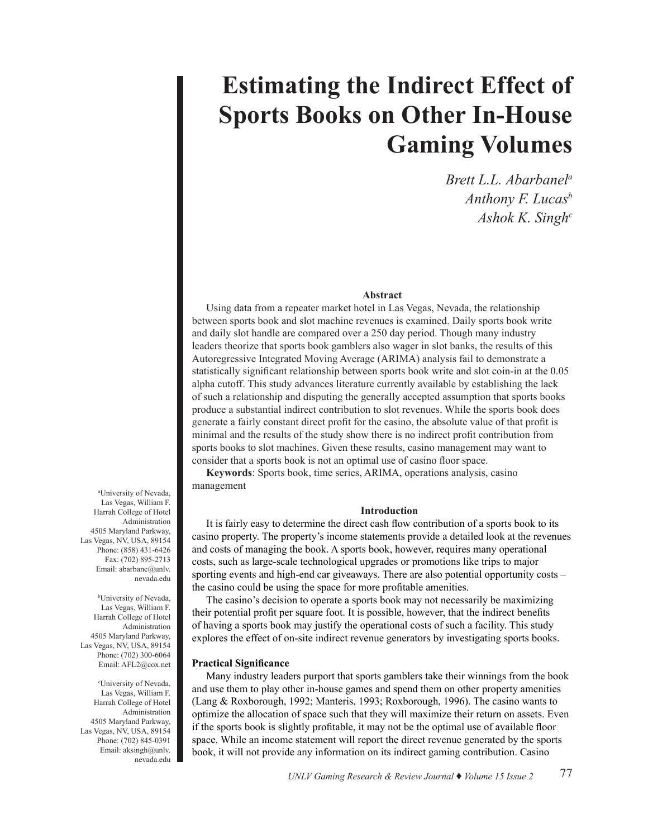# **Estimating the Indirect Effect of Sports Books on Other In-House Gaming Volumes**

*Brett L.L. Abarbanela Anthony F. Lucasb Ashok K. Singhc*

#### **Abstract**

Using data from a repeater market hotel in Las Vegas, Nevada, the relationship between sports book and slot machine revenues is examined. Daily sports book write and daily slot handle are compared over a 250 day period. Though many industry leaders theorize that sports book gamblers also wager in slot banks, the results of this Autoregressive Integrated Moving Average (ARIMA) analysis fail to demonstrate a statistically significant relationship between sports book write and slot coin-in at the 0.05 alpha cutoff. This study advances literature currently available by establishing the lack of such a relationship and disputing the generally accepted assumption that sports books produce a substantial indirect contribution to slot revenues. While the sports book does generate a fairly constant direct profit for the casino, the absolute value of that profit is minimal and the results of the study show there is no indirect profit contribution from sports books to slot machines. Given these results, casino management may want to consider that a sports book is not an optimal use of casino floor space.

**Keywords**: Sports book, time series, ARIMA, operations analysis, casino management

#### **Introduction**

It is fairly easy to determine the direct cash flow contribution of a sports book to its casino property. The property's income statements provide a detailed look at the revenues and costs of managing the book. A sports book, however, requires many operational costs, such as large-scale technological upgrades or promotions like trips to major sporting events and high-end car giveaways. There are also potential opportunity costs – the casino could be using the space for more profitable amenities.

The casino's decision to operate a sports book may not necessarily be maximizing their potential profit per square foot. It is possible, however, that the indirect benefits of having a sports book may justify the operational costs of such a facility. This study explores the effect of on-site indirect revenue generators by investigating sports books.

#### **Practical Significance**

Many industry leaders purport that sports gamblers take their winnings from the book and use them to play other in-house games and spend them on other property amenities (Lang & Roxborough, 1992; Manteris, 1993; Roxborough, 1996). The casino wants to optimize the allocation of space such that they will maximize their return on assets. Even if the sports book is slightly profitable, it may not be the optimal use of available floor space. While an income statement will report the direct revenue generated by the sports book, it will not provide any information on its indirect gaming contribution. Casino

a University of Nevada, Las Vegas, William F. Harrah College of Hotel Administration 4505 Maryland Parkway, Las Vegas, NV, USA, 89154 Phone: (858) 431-6426 Fax: (702) 895-2713 Email: abarbane@unlv. nevada.edu

b University of Nevada, Las Vegas, William F. Harrah College of Hotel Administration 4505 Maryland Parkway, Las Vegas, NV, USA, 89154 Phone: (702) 300-6064 Email: AFL2@cox.net

c University of Nevada, Las Vegas, William F. Harrah College of Hotel Administration 4505 Maryland Parkway, Las Vegas, NV, USA, 89154 Phone: (702) 845-0391 Email: aksingh@unlv. nevada.edu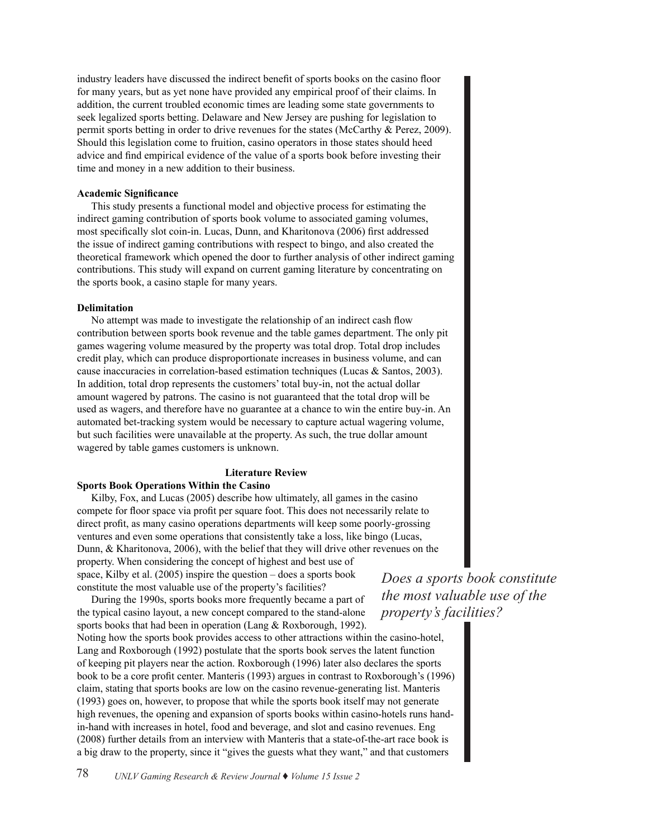industry leaders have discussed the indirect benefit of sports books on the casino floor for many years, but as yet none have provided any empirical proof of their claims. In addition, the current troubled economic times are leading some state governments to seek legalized sports betting. Delaware and New Jersey are pushing for legislation to permit sports betting in order to drive revenues for the states (McCarthy & Perez, 2009). Should this legislation come to fruition, casino operators in those states should heed advice and find empirical evidence of the value of a sports book before investing their time and money in a new addition to their business.

#### **Academic Significance**

This study presents a functional model and objective process for estimating the indirect gaming contribution of sports book volume to associated gaming volumes, most specifically slot coin-in. Lucas, Dunn, and Kharitonova (2006) first addressed the issue of indirect gaming contributions with respect to bingo, and also created the theoretical framework which opened the door to further analysis of other indirect gaming contributions. This study will expand on current gaming literature by concentrating on the sports book, a casino staple for many years.

#### **Delimitation**

No attempt was made to investigate the relationship of an indirect cash flow contribution between sports book revenue and the table games department. The only pit games wagering volume measured by the property was total drop. Total drop includes credit play, which can produce disproportionate increases in business volume, and can cause inaccuracies in correlation-based estimation techniques (Lucas & Santos, 2003). In addition, total drop represents the customers' total buy-in, not the actual dollar amount wagered by patrons. The casino is not guaranteed that the total drop will be used as wagers, and therefore have no guarantee at a chance to win the entire buy-in. An automated bet-tracking system would be necessary to capture actual wagering volume, but such facilities were unavailable at the property. As such, the true dollar amount wagered by table games customers is unknown.

#### **Literature Review**

#### **Sports Book Operations Within the Casino**

Kilby, Fox, and Lucas (2005) describe how ultimately, all games in the casino compete for floor space via profit per square foot. This does not necessarily relate to direct profit, as many casino operations departments will keep some poorly-grossing ventures and even some operations that consistently take a loss, like bingo (Lucas, Dunn, & Kharitonova, 2006), with the belief that they will drive other revenues on the property. When considering the concept of highest and best use of space, Kilby et al. (2005) inspire the question – does a sports book constitute the most valuable use of the property's facilities?

During the 1990s, sports books more frequently became a part of the typical casino layout, a new concept compared to the stand-alone sports books that had been in operation (Lang & Roxborough, 1992). Noting how the sports book provides access to other attractions within the casino-hotel, Lang and Roxborough (1992) postulate that the sports book serves the latent function of keeping pit players near the action. Roxborough (1996) later also declares the sports book to be a core profit center. Manteris (1993) argues in contrast to Roxborough's (1996) claim, stating that sports books are low on the casino revenue-generating list. Manteris (1993) goes on, however, to propose that while the sports book itself may not generate high revenues, the opening and expansion of sports books within casino-hotels runs handin-hand with increases in hotel, food and beverage, and slot and casino revenues. Eng (2008) further details from an interview with Manteris that a state-of-the-art race book is a big draw to the property, since it "gives the guests what they want," and that customers

*Does a sports book constitute the most valuable use of the property's facilities?*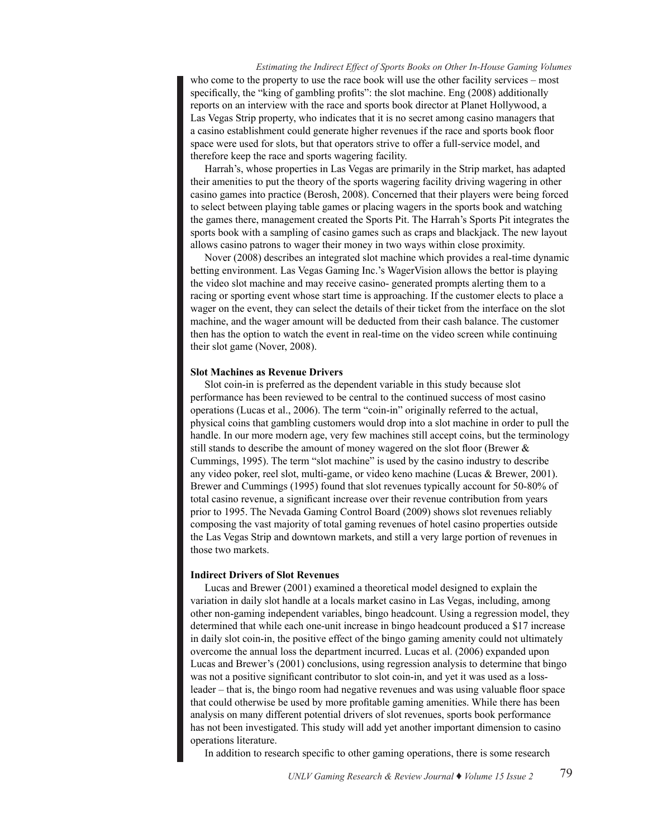*Estimating the Indirect Effect of Sports Books on Other In-House Gaming Volumes* who come to the property to use the race book will use the other facility services – most specifically, the "king of gambling profits": the slot machine. Eng (2008) additionally reports on an interview with the race and sports book director at Planet Hollywood, a Las Vegas Strip property, who indicates that it is no secret among casino managers that a casino establishment could generate higher revenues if the race and sports book floor space were used for slots, but that operators strive to offer a full-service model, and therefore keep the race and sports wagering facility.

Harrah's, whose properties in Las Vegas are primarily in the Strip market, has adapted their amenities to put the theory of the sports wagering facility driving wagering in other casino games into practice (Berosh, 2008). Concerned that their players were being forced to select between playing table games or placing wagers in the sports book and watching the games there, management created the Sports Pit. The Harrah's Sports Pit integrates the sports book with a sampling of casino games such as craps and blackjack. The new layout allows casino patrons to wager their money in two ways within close proximity.

Nover (2008) describes an integrated slot machine which provides a real-time dynamic betting environment. Las Vegas Gaming Inc.'s WagerVision allows the bettor is playing the video slot machine and may receive casino- generated prompts alerting them to a racing or sporting event whose start time is approaching. If the customer elects to place a wager on the event, they can select the details of their ticket from the interface on the slot machine, and the wager amount will be deducted from their cash balance. The customer then has the option to watch the event in real-time on the video screen while continuing their slot game (Nover, 2008).

#### **Slot Machines as Revenue Drivers**

Slot coin-in is preferred as the dependent variable in this study because slot performance has been reviewed to be central to the continued success of most casino operations (Lucas et al., 2006). The term "coin-in" originally referred to the actual, physical coins that gambling customers would drop into a slot machine in order to pull the handle. In our more modern age, very few machines still accept coins, but the terminology still stands to describe the amount of money wagered on the slot floor (Brewer & Cummings, 1995). The term "slot machine" is used by the casino industry to describe any video poker, reel slot, multi-game, or video keno machine (Lucas & Brewer, 2001). Brewer and Cummings (1995) found that slot revenues typically account for 50-80% of total casino revenue, a significant increase over their revenue contribution from years prior to 1995. The Nevada Gaming Control Board (2009) shows slot revenues reliably composing the vast majority of total gaming revenues of hotel casino properties outside the Las Vegas Strip and downtown markets, and still a very large portion of revenues in those two markets.

#### **Indirect Drivers of Slot Revenues**

Lucas and Brewer (2001) examined a theoretical model designed to explain the variation in daily slot handle at a locals market casino in Las Vegas, including, among other non-gaming independent variables, bingo headcount. Using a regression model, they determined that while each one-unit increase in bingo headcount produced a \$17 increase in daily slot coin-in, the positive effect of the bingo gaming amenity could not ultimately overcome the annual loss the department incurred. Lucas et al. (2006) expanded upon Lucas and Brewer's (2001) conclusions, using regression analysis to determine that bingo was not a positive significant contributor to slot coin-in, and yet it was used as a lossleader – that is, the bingo room had negative revenues and was using valuable floor space that could otherwise be used by more profitable gaming amenities. While there has been analysis on many different potential drivers of slot revenues, sports book performance has not been investigated. This study will add yet another important dimension to casino operations literature.

In addition to research specific to other gaming operations, there is some research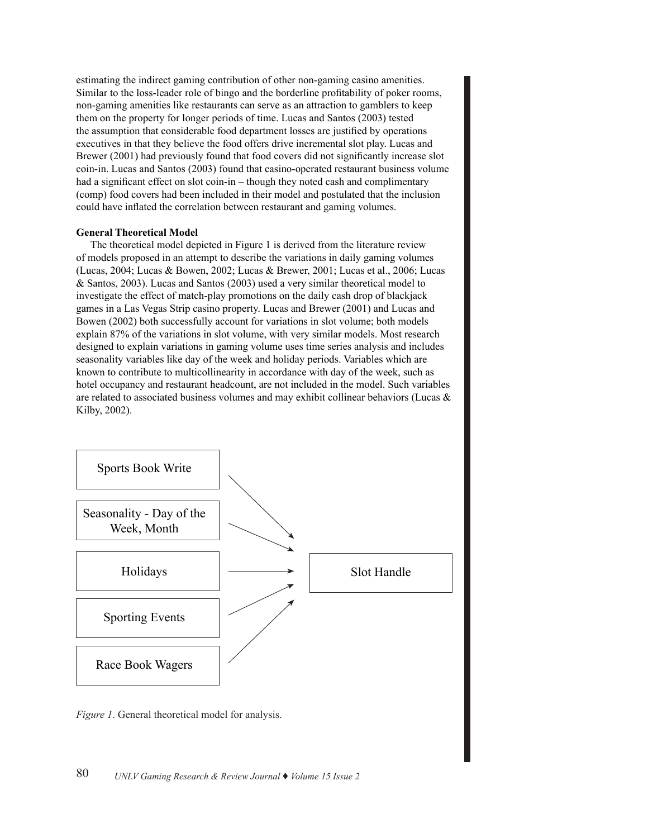estimating the indirect gaming contribution of other non-gaming casino amenities. Similar to the loss-leader role of bingo and the borderline profitability of poker rooms, non-gaming amenities like restaurants can serve as an attraction to gamblers to keep them on the property for longer periods of time. Lucas and Santos (2003) tested the assumption that considerable food department losses are justified by operations executives in that they believe the food offers drive incremental slot play. Lucas and Brewer (2001) had previously found that food covers did not significantly increase slot coin-in. Lucas and Santos (2003) found that casino-operated restaurant business volume had a significant effect on slot coin-in – though they noted cash and complimentary (comp) food covers had been included in their model and postulated that the inclusion could have inflated the correlation between restaurant and gaming volumes.

#### **General Theoretical Model**

The theoretical model depicted in Figure 1 is derived from the literature review of models proposed in an attempt to describe the variations in daily gaming volumes (Lucas, 2004; Lucas & Bowen, 2002; Lucas & Brewer, 2001; Lucas et al., 2006; Lucas & Santos, 2003). Lucas and Santos (2003) used a very similar theoretical model to investigate the effect of match-play promotions on the daily cash drop of blackjack games in a Las Vegas Strip casino property. Lucas and Brewer (2001) and Lucas and Bowen (2002) both successfully account for variations in slot volume; both models explain 87% of the variations in slot volume, with very similar models. Most research designed to explain variations in gaming volume uses time series analysis and includes seasonality variables like day of the week and holiday periods. Variables which are known to contribute to multicollinearity in accordance with day of the week, such as hotel occupancy and restaurant headcount, are not included in the model. Such variables are related to associated business volumes and may exhibit collinear behaviors (Lucas  $\&$ Kilby, 2002).



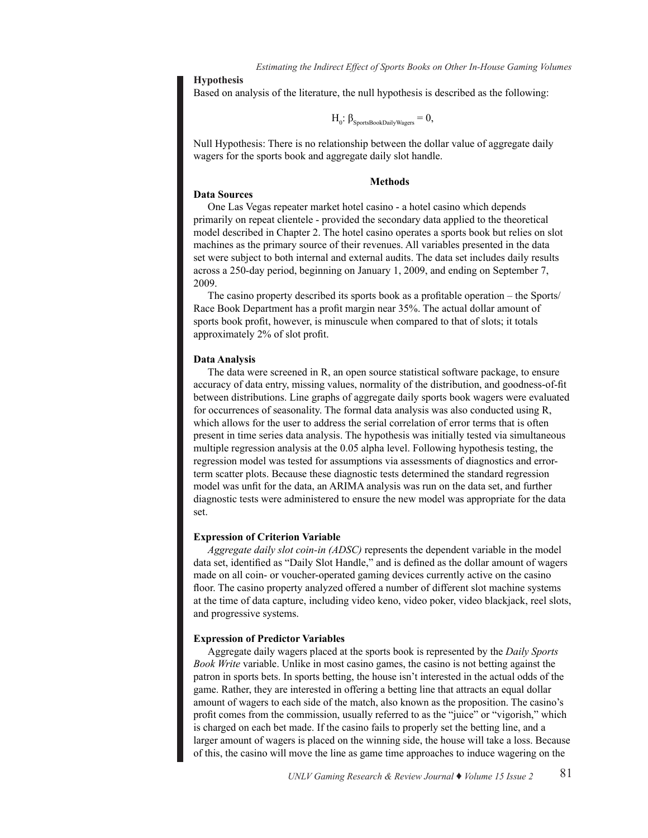#### **Hypothesis**

Based on analysis of the literature, the null hypothesis is described as the following:

$$
H_o: \beta_{\text{SportsBookDailyWagers}} = 0,
$$

Null Hypothesis: There is no relationship between the dollar value of aggregate daily wagers for the sports book and aggregate daily slot handle.

#### **Methods**

#### **Data Sources**

One Las Vegas repeater market hotel casino - a hotel casino which depends primarily on repeat clientele - provided the secondary data applied to the theoretical model described in Chapter 2. The hotel casino operates a sports book but relies on slot machines as the primary source of their revenues. All variables presented in the data set were subject to both internal and external audits. The data set includes daily results across a 250-day period, beginning on January 1, 2009, and ending on September 7, 2009.

The casino property described its sports book as a profitable operation – the Sports/ Race Book Department has a profit margin near 35%. The actual dollar amount of sports book profit, however, is minuscule when compared to that of slots; it totals approximately 2% of slot profit.

#### **Data Analysis**

The data were screened in R, an open source statistical software package, to ensure accuracy of data entry, missing values, normality of the distribution, and goodness-of-fit between distributions. Line graphs of aggregate daily sports book wagers were evaluated for occurrences of seasonality. The formal data analysis was also conducted using R, which allows for the user to address the serial correlation of error terms that is often present in time series data analysis. The hypothesis was initially tested via simultaneous multiple regression analysis at the 0.05 alpha level. Following hypothesis testing, the regression model was tested for assumptions via assessments of diagnostics and errorterm scatter plots. Because these diagnostic tests determined the standard regression model was unfit for the data, an ARIMA analysis was run on the data set, and further diagnostic tests were administered to ensure the new model was appropriate for the data set.

#### **Expression of Criterion Variable**

*Aggregate daily slot coin-in (ADSC)* represents the dependent variable in the model data set, identified as "Daily Slot Handle," and is defined as the dollar amount of wagers made on all coin- or voucher-operated gaming devices currently active on the casino floor. The casino property analyzed offered a number of different slot machine systems at the time of data capture, including video keno, video poker, video blackjack, reel slots, and progressive systems.

#### **Expression of Predictor Variables**

Aggregate daily wagers placed at the sports book is represented by the *Daily Sports Book Write* variable. Unlike in most casino games, the casino is not betting against the patron in sports bets. In sports betting, the house isn't interested in the actual odds of the game. Rather, they are interested in offering a betting line that attracts an equal dollar amount of wagers to each side of the match, also known as the proposition. The casino's profit comes from the commission, usually referred to as the "juice" or "vigorish," which is charged on each bet made. If the casino fails to properly set the betting line, and a larger amount of wagers is placed on the winning side, the house will take a loss. Because of this, the casino will move the line as game time approaches to induce wagering on the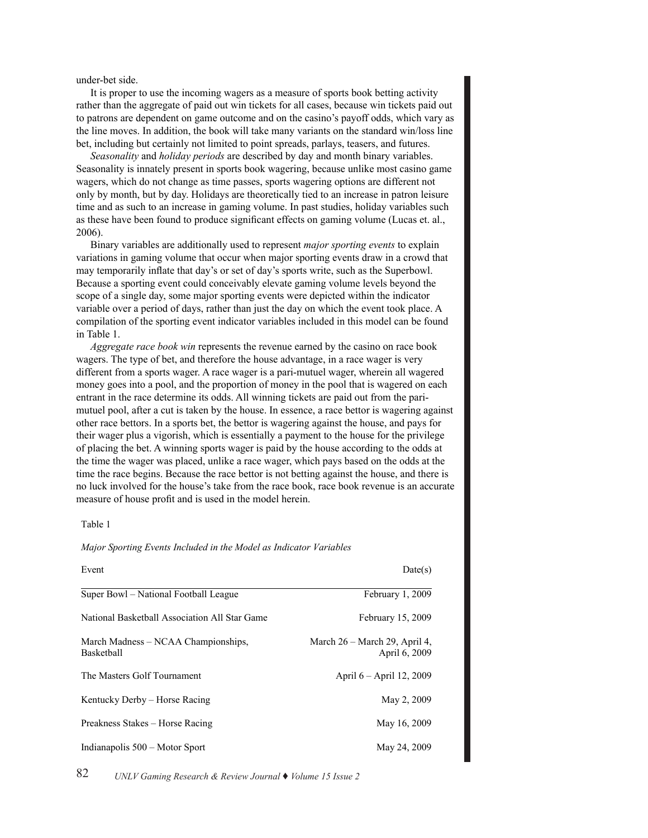under-bet side.

It is proper to use the incoming wagers as a measure of sports book betting activity rather than the aggregate of paid out win tickets for all cases, because win tickets paid out to patrons are dependent on game outcome and on the casino's payoff odds, which vary as the line moves. In addition, the book will take many variants on the standard win/loss line bet, including but certainly not limited to point spreads, parlays, teasers, and futures.

*Seasonality* and *holiday periods* are described by day and month binary variables. Seasonality is innately present in sports book wagering, because unlike most casino game wagers, which do not change as time passes, sports wagering options are different not only by month, but by day. Holidays are theoretically tied to an increase in patron leisure time and as such to an increase in gaming volume. In past studies, holiday variables such as these have been found to produce significant effects on gaming volume (Lucas et. al., 2006).

Binary variables are additionally used to represent *major sporting events* to explain variations in gaming volume that occur when major sporting events draw in a crowd that may temporarily inflate that day's or set of day's sports write, such as the Superbowl. Because a sporting event could conceivably elevate gaming volume levels beyond the scope of a single day, some major sporting events were depicted within the indicator variable over a period of days, rather than just the day on which the event took place. A compilation of the sporting event indicator variables included in this model can be found in Table 1.

*Aggregate race book win* represents the revenue earned by the casino on race book wagers. The type of bet, and therefore the house advantage, in a race wager is very different from a sports wager. A race wager is a pari-mutuel wager, wherein all wagered money goes into a pool, and the proportion of money in the pool that is wagered on each entrant in the race determine its odds. All winning tickets are paid out from the parimutuel pool, after a cut is taken by the house. In essence, a race bettor is wagering against other race bettors. In a sports bet, the bettor is wagering against the house, and pays for their wager plus a vigorish, which is essentially a payment to the house for the privilege of placing the bet. A winning sports wager is paid by the house according to the odds at the time the wager was placed, unlike a race wager, which pays based on the odds at the time the race begins. Because the race bettor is not betting against the house, and there is no luck involved for the house's take from the race book, race book revenue is an accurate measure of house profit and is used in the model herein.

#### Table 1

*Major Sporting Events Included in the Model as Indicator Variables*

| Event                                             | Date(s)                                        |
|---------------------------------------------------|------------------------------------------------|
| Super Bowl – National Football League             | February 1, 2009                               |
| National Basketball Association All Star Game     | February 15, 2009                              |
| March Madness – NCAA Championships,<br>Basketball | March 26 – March 29, April 4,<br>April 6, 2009 |
| The Masters Golf Tournament                       | April 6 – April 12, 2009                       |
| Kentucky Derby – Horse Racing                     | May 2, 2009                                    |
| Preakness Stakes – Horse Racing                   | May 16, 2009                                   |
| Indianapolis 500 – Motor Sport                    | May 24, 2009                                   |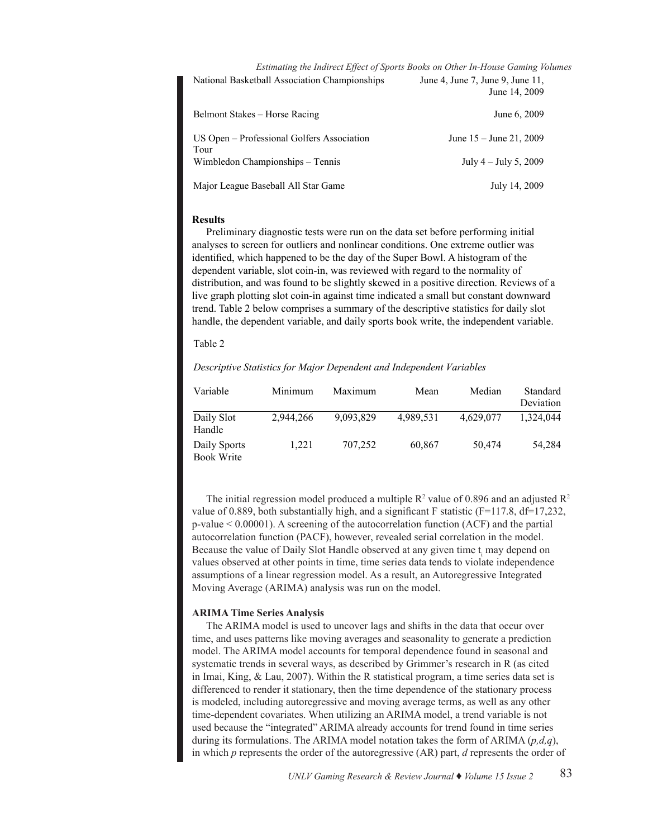*Estimating the Indirect Effect of Sports Books on Other In-House Gaming Volumes*

|                                                    | June 14, 2009             |
|----------------------------------------------------|---------------------------|
| Belmont Stakes – Horse Racing                      | June 6, 2009              |
| US Open – Professional Golfers Association<br>Tour | June $15 -$ June 21, 2009 |
| Wimbledon Championships – Tennis                   | July $4 -$ July 5, 2009   |
| Major League Baseball All Star Game                | July 14, 2009             |

National Basketball Association Championships June 4, June 7, June 9, June 11,

#### **Results**

Preliminary diagnostic tests were run on the data set before performing initial analyses to screen for outliers and nonlinear conditions. One extreme outlier was identified, which happened to be the day of the Super Bowl. A histogram of the dependent variable, slot coin-in, was reviewed with regard to the normality of distribution, and was found to be slightly skewed in a positive direction. Reviews of a live graph plotting slot coin-in against time indicated a small but constant downward trend. Table 2 below comprises a summary of the descriptive statistics for daily slot handle, the dependent variable, and daily sports book write, the independent variable.

#### $\mathbf{Table 2}$ Table 2

#### *Descriptive Statistics for Major Dependent and Independent Variables*

| Variable                          | Minimum   | Maximum   | Mean      | Median    | Standard<br>Deviation |
|-----------------------------------|-----------|-----------|-----------|-----------|-----------------------|
| Daily Slot<br>Handle              | 2.944.266 | 9,093,829 | 4,989,531 | 4,629,077 | 1,324,044             |
| Daily Sports<br><b>Book Write</b> | 1.221     | 707,252   | 60,867    | 50,474    | 54,284                |

The initial regression model produced a multiple  $\mathbb{R}^2$  value of 0.896 and an adjusted  $\mathbb{R}^2$ value of 0.889, both substantially high, and a significant F statistic (F=117.8, df=17,232, p-value < 0.00001). A screening of the autocorrelation function (ACF) and the partial autocorrelation function (PACF), however, revealed serial correlation in the model. Because the value of Daily Slot Handle observed at any given time  $t_i$  may depend on values observed at other points in time, time series data tends to violate independence assumptions of a linear regression model. As a result, an Autoregressive Integrated Moving Average (ARIMA) analysis was run on the model.

#### **ARIMA Time Series Analysis**

The ARIMA model is used to uncover lags and shifts in the data that occur over time, and uses patterns like moving averages and seasonality to generate a prediction model. The ARIMA model accounts for temporal dependence found in seasonal and systematic trends in several ways, as described by Grimmer's research in R (as cited and series Analysis) and the Series Analysis of the Series Analysis of the Series Analysis of the Series Analysis of the Series Analysis in Imai, King, & Lau, 2007). Within the R statistical program, a time series data set is In thiat, King,  $\alpha$  Eau, 2007). Whill the K statistical program, a time series data set is differenced to render it stationary, then the time dependence of the stationary process is modeled, including autoregressive and moving average terms, as well as any other time-dependent covariates. When utilizing an ARIMA model, a trend variable is not used because the "integrated" ARIMA already accounts for trend found in time series during its formulations. The ARIMA model notation takes the form of ARIMA (*p,d,q*), in which  $p$  represents the order of the autoregressive  $(AR)$  part,  $d$  represents the order of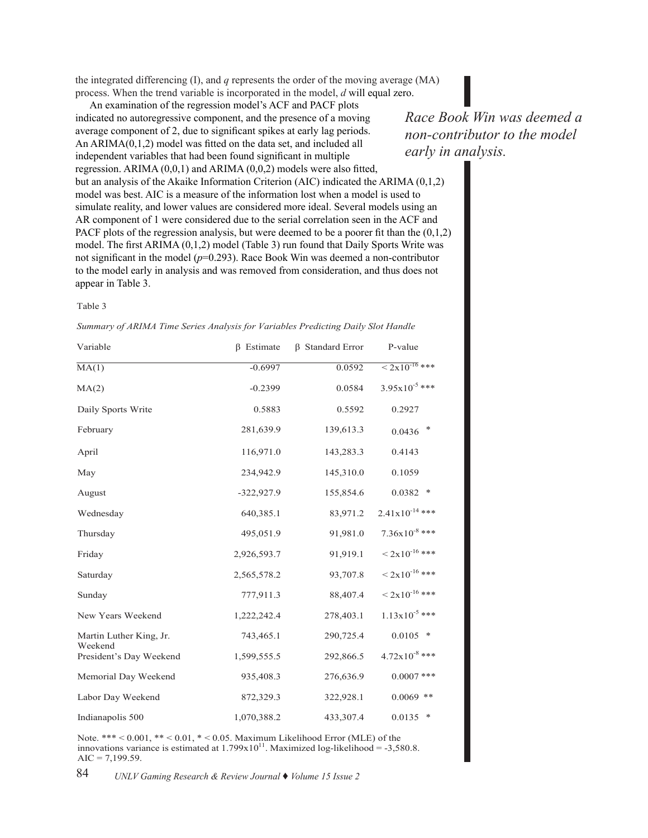the integrated differencing  $(I)$ , and  $q$  represents the order of the moving average  $(MA)$ process. When the trend variable is incorporated in the model, *d* will equal zero.

An examination of the regression model's ACF and PACF plots indicated no autoregressive component, and the presence of a moving  $Race$ average component of 2, due to significant spikes at early lag periods. An ARIMA(0,1,2) model was fitted on the data set, and included all  $\frac{1}{1}$ independent variables that had been found significant in multiple regression. ARIMA  $(0,0,1)$  and ARIMA  $(0,0,2)$  models were also fitted, but an analysis of the Akaike Information Criterion (AIC) indicated the ARIMA (0,1,2) model was best. AIC is a measure of the information lost when a model is used to simulate reality, and lower values are considered more ideal. Several models using an AR component of 1 were considered due to the serial correlation seen in the ACF and  $R_{\text{L}}$ PACF plots of the regression analysis, but were deemed to be a poorer fit than the  $(0,1,2)$ model. The first ARIMA (0,1,2) model (*Table 3*) run found that Daily Sports Write was not significant in the model (*p*=0.293). Race Book Win was deemed a non-contributor to the model early in analysis and was removed from consideration, and thus does not appear in Table 3. appear in Table 3.

#### Table 3

*Summary of ARIMA Time Series Analysis for Variables Predicting Daily Slot Handle*

| Variable                           | $\beta$ Estimate | <b>B</b> Standard Error | P-value                         |
|------------------------------------|------------------|-------------------------|---------------------------------|
| MA(1)                              | $-0.6997$        | 0.0592                  | $\approx 2 \times 10^{-16}$ *** |
| MA(2)                              | $-0.2399$        | 0.0584                  | $3.95 \times 10^{-5}$ ***       |
| Daily Sports Write                 | 0.5883           | 0.5592                  | 0.2927                          |
| February                           | 281,639.9        | 139,613.3               | ∗<br>0.0436                     |
| April                              | 116,971.0        | 143,283.3               | 0.4143                          |
| May                                | 234,942.9        | 145,310.0               | 0.1059                          |
| August                             | $-322,927.9$     | 155,854.6               | $0.0382$ *                      |
| Wednesday                          | 640,385.1        | 83,971.2                | $2.41 \times 10^{-14}$ ***      |
| Thursday                           | 495,051.9        | 91,981.0                | $7.36x10^{-8}$ ***              |
| Friday                             | 2,926,593.7      | 91,919.1                | $< 2x10^{-16}$ ***              |
| Saturday                           | 2,565,578.2      | 93,707.8                | $\rm \leq 2x10^{-16}$ ***       |
| Sunday                             | 777,911.3        | 88,407.4                | $< 2x10^{-16}$ ***              |
| New Years Weekend                  | 1,222,242.4      | 278,403.1               | $1.13x10^{-5}$ ***              |
| Martin Luther King, Jr.            | 743,465.1        | 290,725.4               | $0.0105$ *                      |
| Weekend<br>President's Day Weekend | 1,599,555.5      | 292,866.5               | $4.72 \times 10^{-8}$ ***       |
| Memorial Day Weekend               | 935,408.3        | 276,636.9               | $0.0007$ ***                    |
| Labor Day Weekend                  | 872,329.3        | 322,928.1               | $0.0069$ **                     |
| Indianapolis 500                   | 1,070,388.2      | 433,307.4               | $0.0135$ *                      |

Note. \*\*\* < 0.001, \*\* < 0.01, \* < 0.05. Maximum Likelihood Error (MLE) of the innovations variance is estimated at  $1.799 \times 10^{11}$ . Maximized log-likelihood = -3,580.8.  $AIC = 7,199.59.$ 

*Race Book Win was deemed a non-contributor to the model early in analysis.*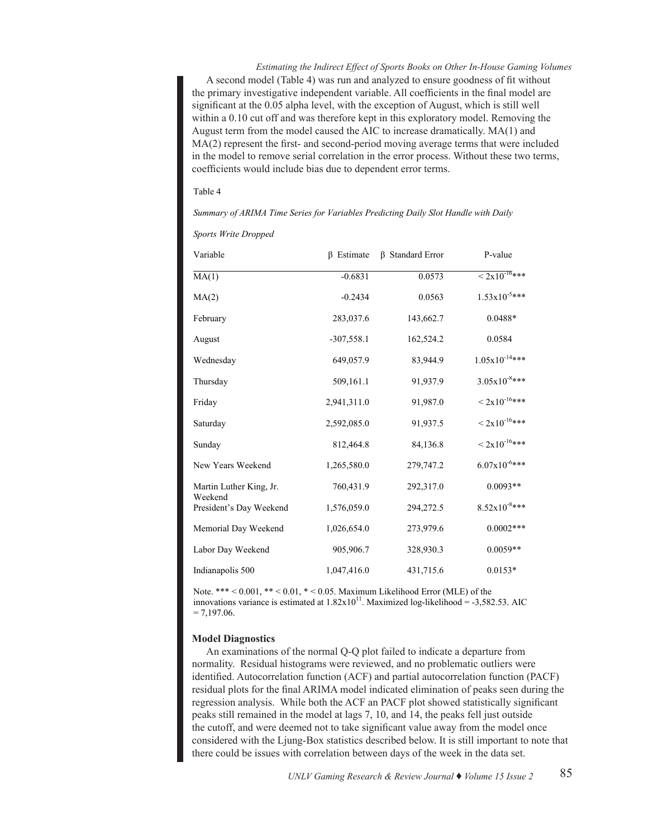*Estimating the Indirect Effect of Sports Books on Other In-House Gaming Volumes* A second model (Table 4) was run and analyzed to ensure goodness of fit without the primary investigative independent variable. All coefficients in the final model are significant at the 0.05 alpha level, with the exception of August, which is still well within a 0.10 cut off and was therefore kept in this exploratory model. Removing the August term from the model caused the AIC to increase dramatically. MA(1) and MA(2) represent the first- and second-period moving average terms that were included in the model to remove serial correlation in the error process. Without these two terms, coefficients would include bias due to dependent error terms.

#### Table 4

*Summary of ARIMA Time Series for Variables Predicting Daily Slot Handle with Daily* 

*Sports Write Dropped*

| Variable                           | <b>B</b> Estimate | <b>B</b> Standard Error | P-value                  |
|------------------------------------|-------------------|-------------------------|--------------------------|
| MA(1)                              | $-0.6831$         | 0.0573                  | $< 2x10^{-16}$ ***       |
| MA(2)                              | $-0.2434$         | 0.0563                  | $1.53 \times 10^{-5***}$ |
| February                           | 283,037.6         | 143,662.7               | $0.0488*$                |
| August                             | $-307,558.1$      | 162,524.2               | 0.0584                   |
| Wednesday                          | 649,057.9         | 83,944.9                | $1.05x10^{-14***}$       |
| Thursday                           | 509,161.1         | 91,937.9                | $3.05x10^{-8***}$        |
| Friday                             | 2,941,311.0       | 91,987.0                | $< 2x10^{-16***}$        |
| Saturday                           | 2,592,085.0       | 91,937.5                | $< 2x10^{-16***}$        |
| Sunday                             | 812,464.8         | 84,136.8                | $< 2x10^{-16***}$        |
| New Years Weekend                  | 1,265,580.0       | 279,747.2               | $6.07x10^{-6***}$        |
| Martin Luther King, Jr.<br>Weekend | 760,431.9         | 292,317.0               | $0.0093**$               |
| President's Day Weekend            | 1,576,059.0       | 294,272.5               | $8.52x10^{-8***}$        |
| Memorial Day Weekend               | 1,026,654.0       | 273,979.6               | $0.0002***$              |
| Labor Day Weekend                  | 905,906.7         | 328,930.3               | $0.0059**$               |
| Indianapolis 500                   | 1,047,416.0       | 431,715.6               | $0.0153*$                |

Note. \*\*\* < 0.001, \*\* < 0.01, \* < 0.05. Maximum Likelihood Error (MLE) of the innovations variance is estimated at  $1.82 \times 10^{11}$ . Maximized log-likelihood = -3,582.53. AIC  $= 7,197.06.$ 

#### **Model Diagnostics**

An examinations of the normal Q-Q plot failed to indicate a departure from normality. Residual histograms were reviewed, and no problematic outliers were identified. Autocorrelation function (ACF) and partial autocorrelation function (PACF) residual plots for the final ARIMA model indicated elimination of peaks seen during the regression analysis. While both the ACF an PACF plot showed statistically significant peaks still remained in the model at lags 7, 10, and 14, the peaks fell just outside the cutoff, and were deemed not to take significant value away from the model once considered with the Ljung-Box statistics described below. It is still important to note that there could be issues with correlation between days of the week in the data set.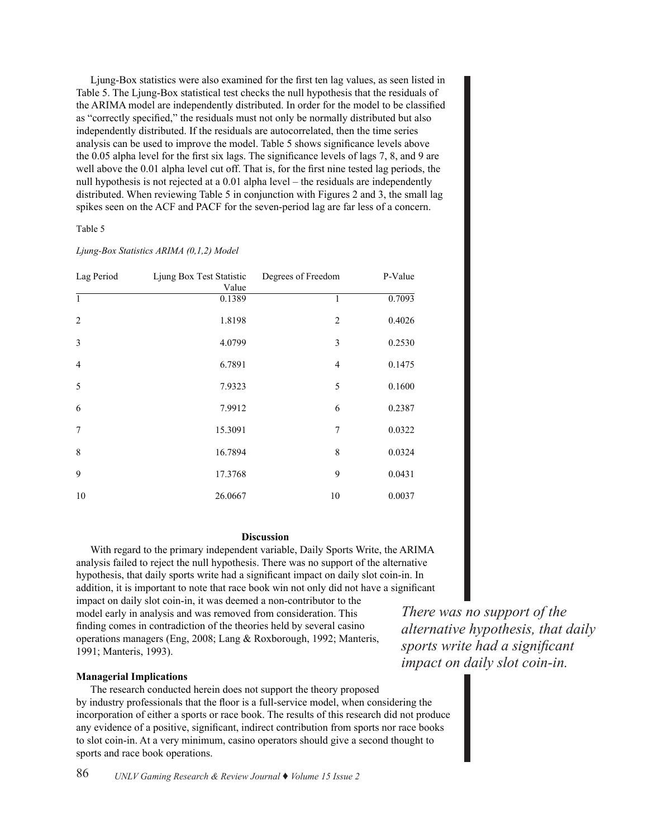Ljung-Box statistics were also examined for the first ten lag values, as seen listed in Table 5. The Ljung-Box statistical test checks the null hypothesis that the residuals of the ARIMA model are independently distributed. In order for the model to be classified as "correctly specified," the residuals must not only be normally distributed but also independently distributed. If the residuals are autocorrelated, then the time series analysis can be used to improve the model. Table 5 shows significance levels above the 0.05 alpha level for the first six lags. The significance levels of lags 7, 8, and 9 are well above the 0.01 alpha level cut off. That is, for the first nine tested lag periods, the null hypothesis is not rejected at a 0.01 alpha level – the residuals are independently distributed. When reviewing Table 5 in conjunction with Figures 2 and 3, the small lag spikes seen on the ACF and PACF for the seven-period lag are far less of a concern.

Table 5

#### *Ljung-Box Statistics ARIMA (0,1,2) Model*

| Lag Period     | Ljung Box Test Statistic<br>Value | Degrees of Freedom | P-Value |
|----------------|-----------------------------------|--------------------|---------|
| $\mathbf{1}$   | 0.1389                            | 1                  | 0.7093  |
| $\overline{2}$ | 1.8198                            | $\overline{2}$     | 0.4026  |
| $\overline{3}$ | 4.0799                            | 3                  | 0.2530  |
| $\overline{4}$ | 6.7891                            | 4                  | 0.1475  |
| 5              | 7.9323                            | 5                  | 0.1600  |
| 6              | 7.9912                            | 6                  | 0.2387  |
| 7              | 15.3091                           | 7                  | 0.0322  |
| 8              | 16.7894                           | 8                  | 0.0324  |
| 9              | 17.3768                           | 9                  | 0.0431  |
| 10             | 26.0667                           | 10                 | 0.0037  |

### **Discussion Discussion**

With regard to the primary independent variable, Daily Sports Write, the ARIMA analysis failed to reject the null hypothesis. There was no support of the alternative hypothesis, that daily sports write had a significant impact on daily slot coin-in. In  $\frac{1}{10}$  addition, it is important to note that race book win not only did not have a significant impact on daily slot coin-in, it was deemed a non-contributor to the  $T<sub>1</sub>$  and  $T<sub>2</sub>$ model early in analysis and was removed from consideration. This finding comes in contradiction of the theories held by several casino  $\theta$ operations managers (Eng, 2008; Lang & Roxborough, 1992; Manteris, 1991; Manteris, 1993).  $Sports$  w

## **Managerial Implications in comparison of the theories held by several casino operations managers (Eng, 2008;**

The research conducted herein does not support the theory proposed by industry professionals that the floor is a full-service model, when considering the incorporation of either a sports or race book. The results of this research did not produce any evidence of a positive, significant, indirect contribution from sports nor race books to slot coin-in. At a very minimum, casino operators should give a second thought to sports and race book operations.

*There was no support of the alternative hypothesis, that daily sports write had a significant impact on daily slot coin-in.*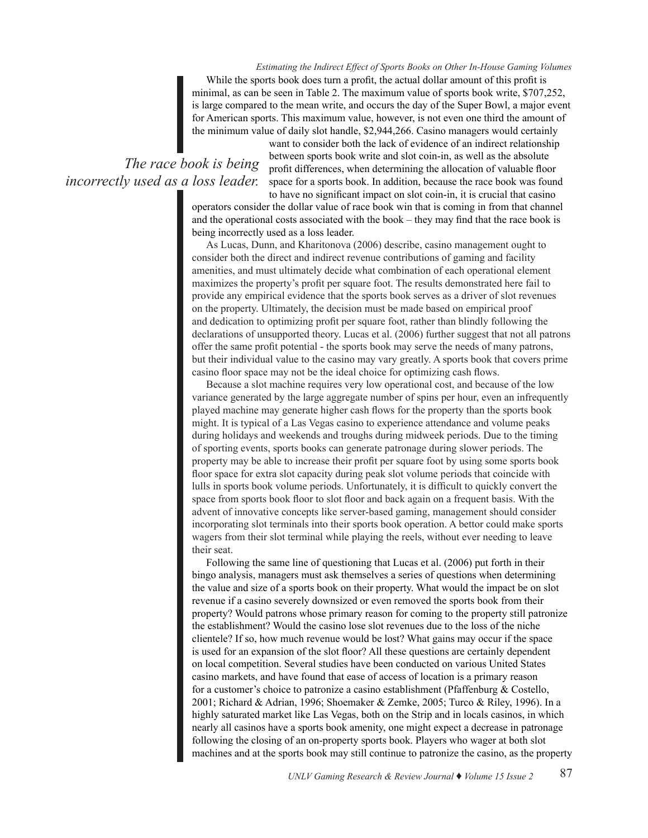*Estimating the Indirect Effect of Sports Books on Other In-House Gaming Volumes* While the sports book does turn a profit, the actual dollar amount of this profit is minimal, as can be seen in Table 2. The maximum value of sports book write, \$707,252, is large compared to the mean write, and occurs the day of the Super Bowl, a major event for American sports. This maximum value, however, is not even one third the amount of the minimum value of daily slot handle, \$2,944,266. Casino managers would certainly

*The race book is being incorrectly used as a loss leader.*

want to consider both the lack of evidence of an indirect relationship between sports book write and slot coin-in, as well as the absolute profit differences, when determining the allocation of valuable floor space for a sports book. In addition, because the race book was found to have no significant impact on slot coin-in, it is crucial that casino

operators consider the dollar value of race book win that is coming in from that channel and the operational costs associated with the book – they may find that the race book is being incorrectly used as a loss leader.

As Lucas, Dunn, and Kharitonova (2006) describe, casino management ought to consider both the direct and indirect revenue contributions of gaming and facility amenities, and must ultimately decide what combination of each operational element maximizes the property's profit per square foot. The results demonstrated here fail to provide any empirical evidence that the sports book serves as a driver of slot revenues on the property. Ultimately, the decision must be made based on empirical proof and dedication to optimizing profit per square foot, rather than blindly following the declarations of unsupported theory. Lucas et al. (2006) further suggest that not all patrons offer the same profit potential - the sports book may serve the needs of many patrons, but their individual value to the casino may vary greatly. A sports book that covers prime casino floor space may not be the ideal choice for optimizing cash flows.

Because a slot machine requires very low operational cost, and because of the low variance generated by the large aggregate number of spins per hour, even an infrequently played machine may generate higher cash flows for the property than the sports book might. It is typical of a Las Vegas casino to experience attendance and volume peaks during holidays and weekends and troughs during midweek periods. Due to the timing of sporting events, sports books can generate patronage during slower periods. The property may be able to increase their profit per square foot by using some sports book floor space for extra slot capacity during peak slot volume periods that coincide with lulls in sports book volume periods. Unfortunately, it is difficult to quickly convert the space from sports book floor to slot floor and back again on a frequent basis. With the advent of innovative concepts like server-based gaming, management should consider incorporating slot terminals into their sports book operation. A bettor could make sports wagers from their slot terminal while playing the reels, without ever needing to leave their seat.

Following the same line of questioning that Lucas et al. (2006) put forth in their bingo analysis, managers must ask themselves a series of questions when determining the value and size of a sports book on their property. What would the impact be on slot revenue if a casino severely downsized or even removed the sports book from their property? Would patrons whose primary reason for coming to the property still patronize the establishment? Would the casino lose slot revenues due to the loss of the niche clientele? If so, how much revenue would be lost? What gains may occur if the space is used for an expansion of the slot floor? All these questions are certainly dependent on local competition. Several studies have been conducted on various United States casino markets, and have found that ease of access of location is a primary reason for a customer's choice to patronize a casino establishment (Pfaffenburg & Costello, 2001; Richard & Adrian, 1996; Shoemaker & Zemke, 2005; Turco & Riley, 1996). In a highly saturated market like Las Vegas, both on the Strip and in locals casinos, in which nearly all casinos have a sports book amenity, one might expect a decrease in patronage following the closing of an on-property sports book. Players who wager at both slot machines and at the sports book may still continue to patronize the casino, as the property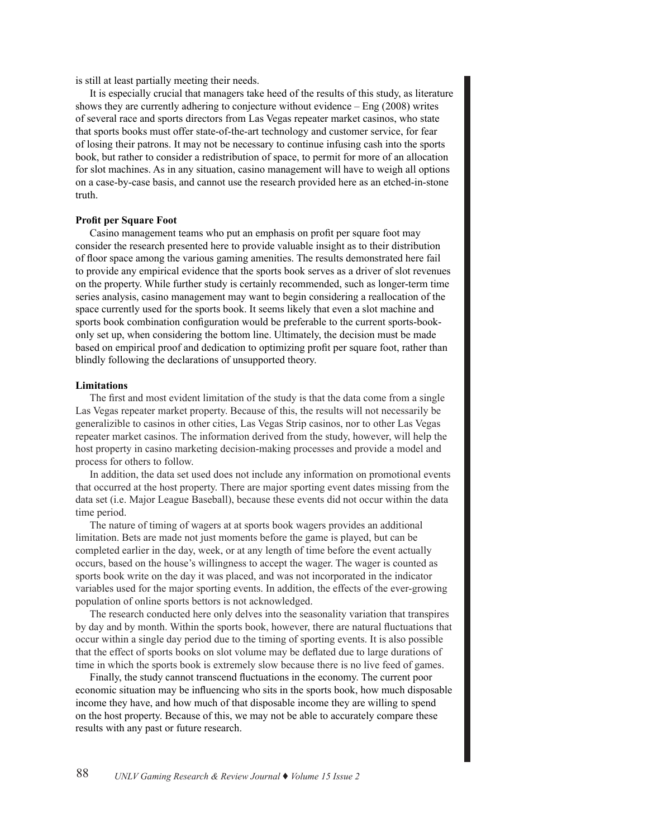is still at least partially meeting their needs.

It is especially crucial that managers take heed of the results of this study, as literature shows they are currently adhering to conjecture without evidence – Eng (2008) writes of several race and sports directors from Las Vegas repeater market casinos, who state that sports books must offer state-of-the-art technology and customer service, for fear of losing their patrons. It may not be necessary to continue infusing cash into the sports book, but rather to consider a redistribution of space, to permit for more of an allocation for slot machines. As in any situation, casino management will have to weigh all options on a case-by-case basis, and cannot use the research provided here as an etched-in-stone truth.

#### **Profit per Square Foot**

Casino management teams who put an emphasis on profit per square foot may consider the research presented here to provide valuable insight as to their distribution of floor space among the various gaming amenities. The results demonstrated here fail to provide any empirical evidence that the sports book serves as a driver of slot revenues on the property. While further study is certainly recommended, such as longer-term time series analysis, casino management may want to begin considering a reallocation of the space currently used for the sports book. It seems likely that even a slot machine and sports book combination configuration would be preferable to the current sports-bookonly set up, when considering the bottom line. Ultimately, the decision must be made based on empirical proof and dedication to optimizing profit per square foot, rather than blindly following the declarations of unsupported theory.

#### **Limitations**

The first and most evident limitation of the study is that the data come from a single Las Vegas repeater market property. Because of this, the results will not necessarily be generalizible to casinos in other cities, Las Vegas Strip casinos, nor to other Las Vegas repeater market casinos. The information derived from the study, however, will help the host property in casino marketing decision-making processes and provide a model and process for others to follow.

In addition, the data set used does not include any information on promotional events that occurred at the host property. There are major sporting event dates missing from the data set (i.e. Major League Baseball), because these events did not occur within the data time period.

The nature of timing of wagers at at sports book wagers provides an additional limitation. Bets are made not just moments before the game is played, but can be completed earlier in the day, week, or at any length of time before the event actually occurs, based on the house's willingness to accept the wager. The wager is counted as sports book write on the day it was placed, and was not incorporated in the indicator variables used for the major sporting events. In addition, the effects of the ever-growing population of online sports bettors is not acknowledged.

The research conducted here only delves into the seasonality variation that transpires by day and by month. Within the sports book, however, there are natural fluctuations that occur within a single day period due to the timing of sporting events. It is also possible that the effect of sports books on slot volume may be deflated due to large durations of time in which the sports book is extremely slow because there is no live feed of games.

Finally, the study cannot transcend fluctuations in the economy. The current poor economic situation may be influencing who sits in the sports book, how much disposable income they have, and how much of that disposable income they are willing to spend on the host property. Because of this, we may not be able to accurately compare these results with any past or future research.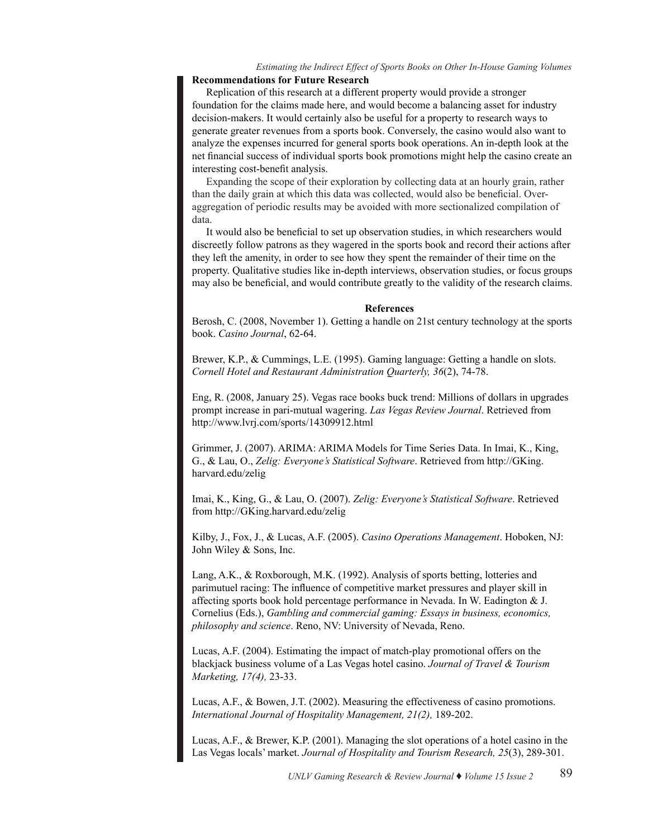## *Estimating the Indirect Effect of Sports Books on Other In-House Gaming Volumes*

## **Recommendations for Future Research**

Replication of this research at a different property would provide a stronger foundation for the claims made here, and would become a balancing asset for industry decision-makers. It would certainly also be useful for a property to research ways to generate greater revenues from a sports book. Conversely, the casino would also want to analyze the expenses incurred for general sports book operations. An in-depth look at the net financial success of individual sports book promotions might help the casino create an interesting cost-benefit analysis.

Expanding the scope of their exploration by collecting data at an hourly grain, rather than the daily grain at which this data was collected, would also be beneficial. Overaggregation of periodic results may be avoided with more sectionalized compilation of data.

It would also be beneficial to set up observation studies, in which researchers would discreetly follow patrons as they wagered in the sports book and record their actions after they left the amenity, in order to see how they spent the remainder of their time on the property. Qualitative studies like in-depth interviews, observation studies, or focus groups may also be beneficial, and would contribute greatly to the validity of the research claims.

#### **References**

Berosh, C. (2008, November 1). Getting a handle on 21st century technology at the sports book. *Casino Journal*, 62-64.

Brewer, K.P., & Cummings, L.E. (1995). Gaming language: Getting a handle on slots. *Cornell Hotel and Restaurant Administration Quarterly, 36*(2), 74-78.

Eng, R. (2008, January 25). Vegas race books buck trend: Millions of dollars in upgrades prompt increase in pari-mutual wagering. *Las Vegas Review Journal*. Retrieved from http://www.lvrj.com/sports/14309912.html

Grimmer, J. (2007). ARIMA: ARIMA Models for Time Series Data. In Imai, K., King, G., & Lau, O., *Zelig: Everyone's Statistical Software*. Retrieved from http://GKing. harvard.edu/zelig

Imai, K., King, G., & Lau, O. (2007). *Zelig: Everyone's Statistical Software*. Retrieved from http://GKing.harvard.edu/zelig

Kilby, J., Fox, J., & Lucas, A.F. (2005). *Casino Operations Management*. Hoboken, NJ: John Wiley & Sons, Inc.

Lang, A.K., & Roxborough, M.K. (1992). Analysis of sports betting, lotteries and parimutuel racing: The influence of competitive market pressures and player skill in affecting sports book hold percentage performance in Nevada. In W. Eadington & J. Cornelius (Eds.), *Gambling and commercial gaming: Essays in business, economics, philosophy and science*. Reno, NV: University of Nevada, Reno.

Lucas, A.F. (2004). Estimating the impact of match-play promotional offers on the blackjack business volume of a Las Vegas hotel casino. *Journal of Travel & Tourism Marketing, 17(4),* 23-33.

Lucas, A.F., & Bowen, J.T. (2002). Measuring the effectiveness of casino promotions. *International Journal of Hospitality Management, 21(2),* 189-202.

Lucas, A.F., & Brewer, K.P. (2001). Managing the slot operations of a hotel casino in the Las Vegas locals' market. *Journal of Hospitality and Tourism Research, 25*(3), 289-301.